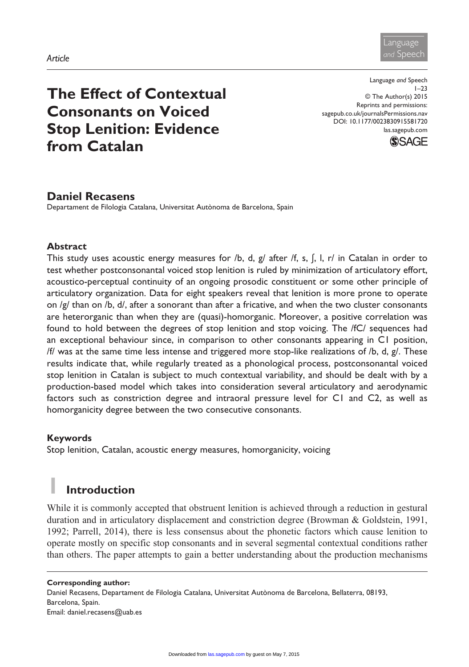

# **The Effect of Contextual Consonants on Voiced Stop Lenition: Evidence from Catalan**

Language *and* Speech  $1 - 23$ © The Author(s) 2015 Reprints and permissions: sagepub.co.uk/journalsPermissions.nav DOI: 10.1177/0023830915581720 las.sagepub.com



## **Daniel Recasens**

Departament de Filologia Catalana, Universitat Autònoma de Barcelona, Spain

### **Abstract**

This study uses acoustic energy measures for /b, d, g/ after /f, s,  $\int$ ,  $\int$ ,  $r/$  in Catalan in order to test whether postconsonantal voiced stop lenition is ruled by minimization of articulatory effort, acoustico-perceptual continuity of an ongoing prosodic constituent or some other principle of articulatory organization. Data for eight speakers reveal that lenition is more prone to operate on /g/ than on /b, d/, after a sonorant than after a fricative, and when the two cluster consonants are heterorganic than when they are (quasi)-homorganic. Moreover, a positive correlation was found to hold between the degrees of stop lenition and stop voicing. The /fC/ sequences had an exceptional behaviour since, in comparison to other consonants appearing in C1 position, /f/ was at the same time less intense and triggered more stop-like realizations of /b, d,  $g/$ . These results indicate that, while regularly treated as a phonological process, postconsonantal voiced stop lenition in Catalan is subject to much contextual variability, and should be dealt with by a production-based model which takes into consideration several articulatory and aerodynamic factors such as constriction degree and intraoral pressure level for C1 and C2, as well as homorganicity degree between the two consecutive consonants.

### **Keywords**

Stop lenition, Catalan, acoustic energy measures, homorganicity, voicing

## **1 Introduction**

While it is commonly accepted that obstruent lenition is achieved through a reduction in gestural duration and in articulatory displacement and constriction degree (Browman & Goldstein, 1991, 1992; Parrell, 2014), there is less consensus about the phonetic factors which cause lenition to operate mostly on specific stop consonants and in several segmental contextual conditions rather than others. The paper attempts to gain a better understanding about the production mechanisms

**Corresponding author:** Daniel Recasens, Departament de Filologia Catalana, Universitat Autònoma de Barcelona, Bellaterra, 08193, Barcelona, Spain. Email: [daniel.recasens@uab.es](mailto:daniel.recasens@uab.es)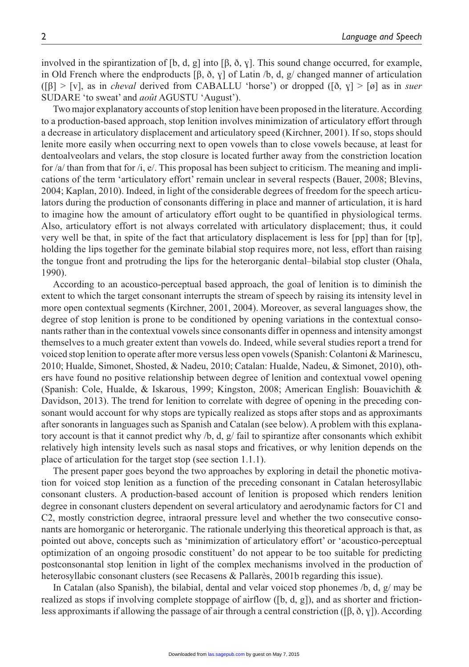involved in the spirantization of  $[b, d, g]$  into  $[\beta, \delta, \gamma]$ . This sound change occurred, for example, in Old French where the endproducts [ $\beta$ ,  $\delta$ ,  $\gamma$ ] of Latin /b, d, g/ changed manner of articulation ([β] > [v], as in *cheval* derived from CABALLU 'horse') or dropped ([ð, ɣ] > [ø] as in *suer* SUDARE 'to sweat' and *août* AGUSTU 'August').

Two major explanatory accounts of stop lenition have been proposed in the literature. According to a production-based approach, stop lenition involves minimization of articulatory effort through a decrease in articulatory displacement and articulatory speed (Kirchner, 2001). If so, stops should lenite more easily when occurring next to open vowels than to close vowels because, at least for dentoalveolars and velars, the stop closure is located further away from the constriction location for  $\alpha$  than from that for  $\beta$ ,  $\beta$ . This proposal has been subject to criticism. The meaning and implications of the term 'articulatory effort' remain unclear in several respects (Bauer, 2008; Blevins, 2004; Kaplan, 2010). Indeed, in light of the considerable degrees of freedom for the speech articulators during the production of consonants differing in place and manner of articulation, it is hard to imagine how the amount of articulatory effort ought to be quantified in physiological terms. Also, articulatory effort is not always correlated with articulatory displacement; thus, it could very well be that, in spite of the fact that articulatory displacement is less for [pp] than for [tp], holding the lips together for the geminate bilabial stop requires more, not less, effort than raising the tongue front and protruding the lips for the heterorganic dental–bilabial stop cluster (Ohala, 1990).

According to an acoustico-perceptual based approach, the goal of lenition is to diminish the extent to which the target consonant interrupts the stream of speech by raising its intensity level in more open contextual segments (Kirchner, 2001, 2004). Moreover, as several languages show, the degree of stop lenition is prone to be conditioned by opening variations in the contextual consonants rather than in the contextual vowels since consonants differ in openness and intensity amongst themselves to a much greater extent than vowels do. Indeed, while several studies report a trend for voiced stop lenition to operate after more versus less open vowels (Spanish: Colantoni & Marinescu, 2010; Hualde, Simonet, Shosted, & Nadeu, 2010; Catalan: Hualde, Nadeu, & Simonet, 2010), others have found no positive relationship between degree of lenition and contextual vowel opening (Spanish: Cole, Hualde, & Iskarous, 1999; Kingston, 2008; American English: Bouavichith & Davidson, 2013). The trend for lenition to correlate with degree of opening in the preceding consonant would account for why stops are typically realized as stops after stops and as approximants after sonorants in languages such as Spanish and Catalan (see below). A problem with this explanatory account is that it cannot predict why  $/b$ , d, g/ fail to spirantize after consonants which exhibit relatively high intensity levels such as nasal stops and fricatives, or why lenition depends on the place of articulation for the target stop (see section 1.1.1).

The present paper goes beyond the two approaches by exploring in detail the phonetic motivation for voiced stop lenition as a function of the preceding consonant in Catalan heterosyllabic consonant clusters. A production-based account of lenition is proposed which renders lenition degree in consonant clusters dependent on several articulatory and aerodynamic factors for C1 and C2, mostly constriction degree, intraoral pressure level and whether the two consecutive consonants are homorganic or heterorganic. The rationale underlying this theoretical approach is that, as pointed out above, concepts such as 'minimization of articulatory effort' or 'acoustico-perceptual optimization of an ongoing prosodic constituent' do not appear to be too suitable for predicting postconsonantal stop lenition in light of the complex mechanisms involved in the production of heterosyllabic consonant clusters (see Recasens & Pallarès, 2001b regarding this issue).

In Catalan (also Spanish), the bilabial, dental and velar voiced stop phonemes /b, d, g/ may be realized as stops if involving complete stoppage of airflow ([b, d, g]), and as shorter and frictionless approximants if allowing the passage of air through a central constriction ([β, ð, ɣ]). According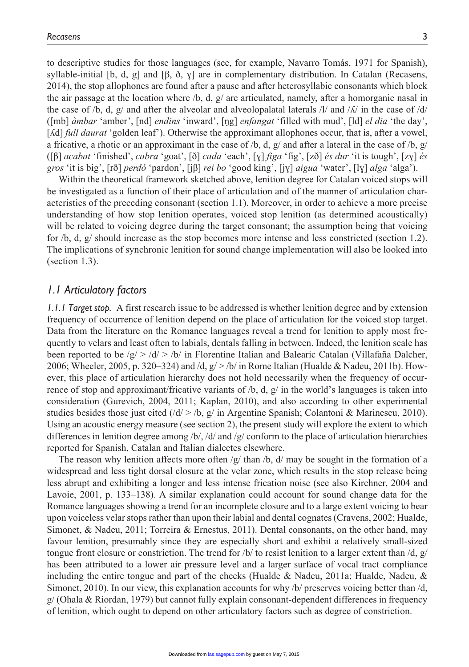to descriptive studies for those languages (see, for example, Navarro Tomás, 1971 for Spanish), syllable-initial [b, d, g] and [β,  $\delta$ , γ] are in complementary distribution. In Catalan (Recasens, 2014), the stop allophones are found after a pause and after heterosyllabic consonants which block the air passage at the location where  $/b$ , d,  $g/$  are articulated, namely, after a homorganic nasal in the case of  $/b$ , d, g/ and after the alveolar and alveolopalatal laterals  $/b/$  and  $/k/$  in the case of  $/d/$ ([mb] *àmbar* 'amber', [nd] *endins* 'inward', [ŋg] *enfangat* 'filled with mud', [ld] *el dia* 'the day', [ʎd] *full daurat* 'golden leaf'). Otherwise the approximant allophones occur, that is, after a vowel, a fricative, a rhotic or an approximant in the case of  $/b$ , d, g/ and after a lateral in the case of  $/b$ , g/ ([β] *acabat* 'finished', *cabra* 'goat', [ð] *cada* 'each', [ɣ] *figa* 'fig', [zð] *és dur* 'it is tough', [zɣ] *és gros* 'it is big', [rð] *perdó* 'pardon', [jβ] *rei bo* 'good king', [jɣ] *aigua* 'water', [lɣ] *alga* 'alga').

Within the theoretical framework sketched above, lenition degree for Catalan voiced stops will be investigated as a function of their place of articulation and of the manner of articulation characteristics of the preceding consonant (section 1.1). Moreover, in order to achieve a more precise understanding of how stop lenition operates, voiced stop lenition (as determined acoustically) will be related to voicing degree during the target consonant; the assumption being that voicing for /b, d, g/ should increase as the stop becomes more intense and less constricted (section 1.2). The implications of synchronic lenition for sound change implementation will also be looked into (section 1.3).

#### *1.1 Articulatory factors*

*1.1.1 Target stop.* A first research issue to be addressed is whether lenition degree and by extension frequency of occurrence of lenition depend on the place of articulation for the voiced stop target. Data from the literature on the Romance languages reveal a trend for lenition to apply most frequently to velars and least often to labials, dentals falling in between. Indeed, the lenition scale has been reported to be  $\frac{1}{g}$  >  $\frac{1}{d}$  >  $\frac{1}{b}$  in Florentine Italian and Balearic Catalan (Villafaña Dalcher, 2006; Wheeler, 2005, p. 320–324) and /d,  $g$   $>$  /b/ in Rome Italian (Hualde & Nadeu, 2011b). However, this place of articulation hierarchy does not hold necessarily when the frequency of occurrence of stop and approximant/fricative variants of  $/b$ , d,  $g/$  in the world's languages is taken into consideration (Gurevich, 2004, 2011; Kaplan, 2010), and also according to other experimental studies besides those just cited ( $\frac{d}{>b}$ , g/ in Argentine Spanish; Colantoni & Marinescu, 2010). Using an acoustic energy measure (see section 2), the present study will explore the extent to which differences in lenition degree among /b/, /d/ and /g/ conform to the place of articulation hierarchies reported for Spanish, Catalan and Italian dialectes elsewhere.

The reason why lenition affects more often /g/ than /b,  $d$ / may be sought in the formation of a widespread and less tight dorsal closure at the velar zone, which results in the stop release being less abrupt and exhibiting a longer and less intense frication noise (see also Kirchner, 2004 and Lavoie, 2001, p. 133–138). A similar explanation could account for sound change data for the Romance languages showing a trend for an incomplete closure and to a large extent voicing to bear upon voiceless velar stops rather than upon their labial and dental cognates (Cravens, 2002; Hualde, Simonet, & Nadeu, 2011; Torreira & Ernestus, 2011). Dental consonants, on the other hand, may favour lenition, presumably since they are especially short and exhibit a relatively small-sized tongue front closure or constriction. The trend for  $\frac{b}{c}$  to resist lenition to a larger extent than  $\frac{d}{d}$ ,  $\frac{g}{d}$ has been attributed to a lower air pressure level and a larger surface of vocal tract compliance including the entire tongue and part of the cheeks (Hualde & Nadeu, 2011a; Hualde, Nadeu, & Simonet, 2010). In our view, this explanation accounts for why /b/ preserves voicing better than /d, g/ (Ohala & Riordan, 1979) but cannot fully explain consonant-dependent differences in frequency of lenition, which ought to depend on other articulatory factors such as degree of constriction.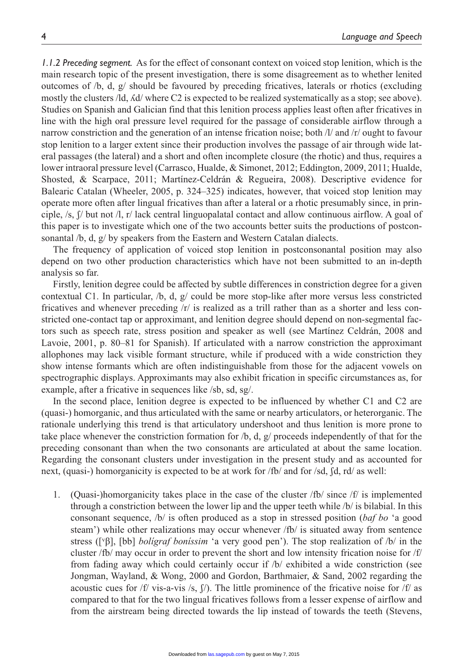*1.1.2 Preceding segment.* As for the effect of consonant context on voiced stop lenition, which is the main research topic of the present investigation, there is some disagreement as to whether lenited outcomes of /b, d, g/ should be favoured by preceding fricatives, laterals or rhotics (excluding mostly the clusters /ld, ʎd/ where C2 is expected to be realized systematically as a stop; see above). Studies on Spanish and Galician find that this lenition process applies least often after fricatives in line with the high oral pressure level required for the passage of considerable airflow through a narrow constriction and the generation of an intense frication noise; both /l/ and /r/ ought to favour stop lenition to a larger extent since their production involves the passage of air through wide lateral passages (the lateral) and a short and often incomplete closure (the rhotic) and thus, requires a lower intraoral pressure level (Carrasco, Hualde, & Simonet, 2012; Eddington, 2009, 2011; Hualde, Shosted, & Scarpace, 2011; Martínez-Celdrán & Regueira, 2008). Descriptive evidence for Balearic Catalan (Wheeler, 2005, p. 324–325) indicates, however, that voiced stop lenition may operate more often after lingual fricatives than after a lateral or a rhotic presumably since, in principle, /s, ʃ/ but not /l, r/ lack central linguopalatal contact and allow continuous airflow. A goal of this paper is to investigate which one of the two accounts better suits the productions of postconsonantal /b, d, g/ by speakers from the Eastern and Western Catalan dialects.

The frequency of application of voiced stop lenition in postconsonantal position may also depend on two other production characteristics which have not been submitted to an in-depth analysis so far.

Firstly, lenition degree could be affected by subtle differences in constriction degree for a given contextual C1. In particular, /b, d, g/ could be more stop-like after more versus less constricted fricatives and whenever preceding  $/r/$  is realized as a trill rather than as a shorter and less constricted one-contact tap or approximant, and lenition degree should depend on non-segmental factors such as speech rate, stress position and speaker as well (see Martínez Celdrán, 2008 and Lavoie, 2001, p. 80–81 for Spanish). If articulated with a narrow constriction the approximant allophones may lack visible formant structure, while if produced with a wide constriction they show intense formants which are often indistinguishable from those for the adjacent vowels on spectrographic displays. Approximants may also exhibit frication in specific circumstances as, for example, after a fricative in sequences like /sb, sd, sg/.

In the second place, lenition degree is expected to be influenced by whether C1 and C2 are (quasi-) homorganic, and thus articulated with the same or nearby articulators, or heterorganic. The rationale underlying this trend is that articulatory undershoot and thus lenition is more prone to take place whenever the constriction formation for  $/b$ , d, g/ proceeds independently of that for the preceding consonant than when the two consonants are articulated at about the same location. Regarding the consonant clusters under investigation in the present study and as accounted for next, (quasi-) homorganicity is expected to be at work for /fb/ and for /sd, ʃd, rd/ as well:

1. (Quasi-)homorganicity takes place in the case of the cluster /fb/ since /f/ is implemented through a constriction between the lower lip and the upper teeth while /b/ is bilabial. In this consonant sequence, /b/ is often produced as a stop in stressed position (*baf bo* 'a good steam') while other realizations may occur whenever /fb/ is situated away from sentence stress ([vβ], [bb] *bolígraf boníssim* 'a very good pen'). The stop realization of /b/ in the cluster /fb/ may occur in order to prevent the short and low intensity frication noise for /f/ from fading away which could certainly occur if /b/ exhibited a wide constriction (see Jongman, Wayland, & Wong, 2000 and Gordon, Barthmaier, & Sand, 2002 regarding the acoustic cues for /f/ vis-a-vis /s,  $\int$ /). The little prominence of the fricative noise for /f/ as compared to that for the two lingual fricatives follows from a lesser expense of airflow and from the airstream being directed towards the lip instead of towards the teeth (Stevens,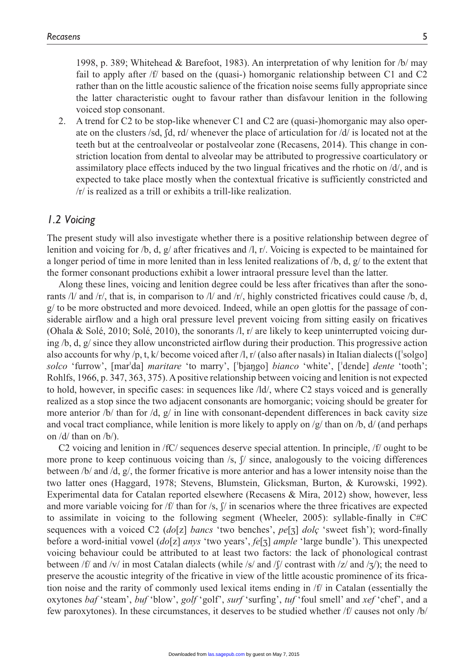1998, p. 389; Whitehead & Barefoot, 1983). An interpretation of why lenition for /b/ may fail to apply after  $\pi/2$  based on the (quasi-) homorganic relationship between C1 and C2 rather than on the little acoustic salience of the frication noise seems fully appropriate since the latter characteristic ought to favour rather than disfavour lenition in the following voiced stop consonant.

2. A trend for C2 to be stop-like whenever C1 and C2 are (quasi-)homorganic may also operate on the clusters /sd, ʃd, rd/ whenever the place of articulation for /d/ is located not at the teeth but at the centroalveolar or postalveolar zone (Recasens, 2014). This change in constriction location from dental to alveolar may be attributed to progressive coarticulatory or assimilatory place effects induced by the two lingual fricatives and the rhotic on /d/, and is expected to take place mostly when the contextual fricative is sufficiently constricted and /r/ is realized as a trill or exhibits a trill-like realization.

#### *1.2 Voicing*

The present study will also investigate whether there is a positive relationship between degree of lenition and voicing for /b, d, g/ after fricatives and /l, r/. Voicing is expected to be maintained for a longer period of time in more lenited than in less lenited realizations of  $/b$ , d,  $g/$  to the extent that the former consonant productions exhibit a lower intraoral pressure level than the latter.

Along these lines, voicing and lenition degree could be less after fricatives than after the sonorants  $\frac{1}{a}$  and  $\frac{1}{r}$ , that is, in comparison to  $\frac{1}{a}$  and  $\frac{1}{r}$ , highly constricted fricatives could cause  $\frac{1}{b}$ , d, g/ to be more obstructed and more devoiced. Indeed, while an open glottis for the passage of considerable airflow and a high oral pressure level prevent voicing from sitting easily on fricatives (Ohala & Solé, 2010; Solé, 2010), the sonorants /l, r/ are likely to keep uninterrupted voicing during /b, d, g/ since they allow unconstricted airflow during their production. This progressive action also accounts for why /p, t, k/ become voiced after /l, r/ (also after nasals) in Italian dialects ( $\lceil \cdot \text{solgo} \rceil$ *solco* 'furrow', [marˈda] *maritare* 'to marry', [ˈbjaŋgo] *bianco* 'white', [ˈdɛnde] *dente* 'tooth'; Rohlfs, 1966, p. 347, 363, 375). A positive relationship between voicing and lenition is not expected to hold, however, in specific cases: in sequences like /ld/, where C2 stays voiced and is generally realized as a stop since the two adjacent consonants are homorganic; voicing should be greater for more anterior /b/ than for /d,  $g/$  in line with consonant-dependent differences in back cavity size and vocal tract compliance, while lenition is more likely to apply on  $/g/$  than on  $/b$ , d/ (and perhaps on  $\frac{d}{d}$  than on  $\frac{b}{c}$ .

C2 voicing and lenition in /fC/ sequences deserve special attention. In principle, /f/ ought to be more prone to keep continuous voicing than  $\frac{s}{s}$ ,  $\frac{s}{s}$  since, analogously to the voicing differences between /b/ and /d, g/, the former fricative is more anterior and has a lower intensity noise than the two latter ones (Haggard, 1978; Stevens, Blumstein, Glicksman, Burton, & Kurowski, 1992). Experimental data for Catalan reported elsewhere (Recasens & Mira, 2012) show, however, less and more variable voicing for /f/ than for /s,  $\int$ / in scenarios where the three fricatives are expected to assimilate in voicing to the following segment (Wheeler, 2005): syllable-finally in C#C sequences with a voiced C2 (*do*[z] *bancs* 'two benches', *pe*[ʒ] *dolç* 'sweet fish'); word-finally before a word-initial vowel (*do*[z] *anys* 'two years', *fe*[ʒ] *ample* 'large bundle'). This unexpected voicing behaviour could be attributed to at least two factors: the lack of phonological contrast between /f/ and /v/ in most Catalan dialects (while /s/ and / $\int$ / contrast with /z/ and / $\tau$ /; the need to preserve the acoustic integrity of the fricative in view of the little acoustic prominence of its frication noise and the rarity of commonly used lexical items ending in  $/f$  in Catalan (essentially the oxytones *baf* 'steam', *buf* 'blow', *golf* 'golf', *surf* 'surfing', *tuf* 'foul smell' and *xef* 'chef', and a few paroxytones). In these circumstances, it deserves to be studied whether /f/ causes not only /b/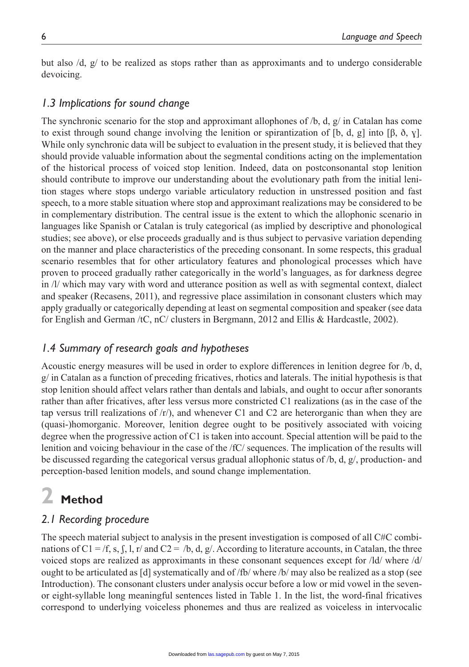but also /d, g/ to be realized as stops rather than as approximants and to undergo considerable devoicing.

### *1.3 Implications for sound change*

The synchronic scenario for the stop and approximant allophones of  $/b$ , d,  $g/m$  Catalan has come to exist through sound change involving the lenition or spirantization of [b, d, g] into [β, ð, ɣ]. While only synchronic data will be subject to evaluation in the present study, it is believed that they should provide valuable information about the segmental conditions acting on the implementation of the historical process of voiced stop lenition. Indeed, data on postconsonantal stop lenition should contribute to improve our understanding about the evolutionary path from the initial lenition stages where stops undergo variable articulatory reduction in unstressed position and fast speech, to a more stable situation where stop and approximant realizations may be considered to be in complementary distribution. The central issue is the extent to which the allophonic scenario in languages like Spanish or Catalan is truly categorical (as implied by descriptive and phonological studies; see above), or else proceeds gradually and is thus subject to pervasive variation depending on the manner and place characteristics of the preceding consonant. In some respects, this gradual scenario resembles that for other articulatory features and phonological processes which have proven to proceed gradually rather categorically in the world's languages, as for darkness degree in /l/ which may vary with word and utterance position as well as with segmental context, dialect and speaker (Recasens, 2011), and regressive place assimilation in consonant clusters which may apply gradually or categorically depending at least on segmental composition and speaker (see data for English and German /tC, nC/ clusters in Bergmann, 2012 and Ellis & Hardcastle, 2002).

## *1.4 Summary of research goals and hypotheses*

Acoustic energy measures will be used in order to explore differences in lenition degree for /b, d, g/ in Catalan as a function of preceding fricatives, rhotics and laterals. The initial hypothesis is that stop lenition should affect velars rather than dentals and labials, and ought to occur after sonorants rather than after fricatives, after less versus more constricted C1 realizations (as in the case of the tap versus trill realizations of  $\langle r \rangle$ , and whenever C1 and C2 are heterorganic than when they are (quasi-)homorganic. Moreover, lenition degree ought to be positively associated with voicing degree when the progressive action of C1 is taken into account. Special attention will be paid to the lenition and voicing behaviour in the case of the /fC/ sequences. The implication of the results will be discussed regarding the categorical versus gradual allophonic status of /b, d, g/, production- and perception-based lenition models, and sound change implementation.

## **2 Method**

## *2.1 Recording procedure*

The speech material subject to analysis in the present investigation is composed of all C#C combinations of C1 = /f, s,  $\int$ , l, r/ and C2 = /b, d, g/. According to literature accounts, in Catalan, the three voiced stops are realized as approximants in these consonant sequences except for /ld/ where /d/ ought to be articulated as [d] systematically and of /fb/ where /b/ may also be realized as a stop (see Introduction). The consonant clusters under analysis occur before a low or mid vowel in the sevenor eight-syllable long meaningful sentences listed in Table 1. In the list, the word-final fricatives correspond to underlying voiceless phonemes and thus are realized as voiceless in intervocalic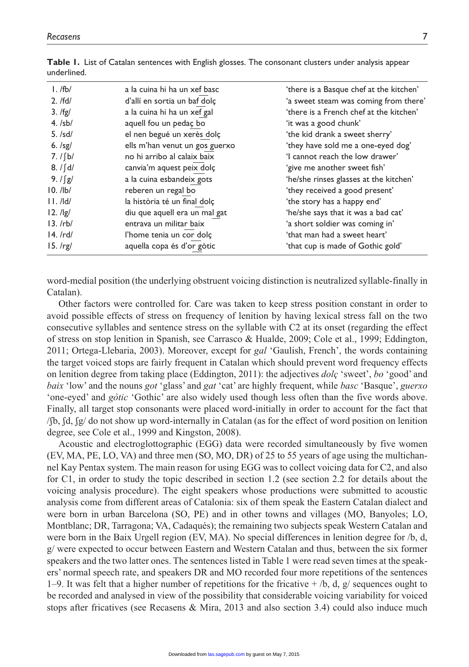| $l.$ /fb/                  | a la cuina hi ha un xef basc   | 'there is a Basque chef at the kitchen' |
|----------------------------|--------------------------------|-----------------------------------------|
| $2.$ /fd/                  | d'allí en sortia un baf dolç   | 'a sweet steam was coming from there'   |
| $3.$ /fg/                  | a la cuina hi ha un xef gal    | 'there is a French chef at the kitchen' |
| $4.$ /sb/                  | aquell fou un pedaç bo         | 'it was a good chunk'                   |
| 5. /sd/                    | el nen begué un xerès dolç     | 'the kid drank a sweet sherry'          |
| $6.$ /sg/                  | ells m'han venut un gos guerxo | 'they have sold me a one-eyed dog'      |
| 7.76/                      | no hi arribo al calaix baix    | 'I cannot reach the low drawer'         |
| $8. / \lceil d /$          | canvia'm aquest peix dolç      | 'give me another sweet fish'            |
| 9. $1/g/$                  | a la cuina esbandeix gots      | 'he/she rinses glasses at the kitchen'  |
| $10.$ /lb/                 | reberen un regal bo            | 'they received a good present'          |
| $II.$ /ld/                 | la història té un final dolç   | 'the story has a happy end'             |
| $12.$ /lg/                 | diu que aquell era un mal gat  | 'he/she says that it was a bad cat'     |
| $13.$ /rb/                 | entrava un militar baix        | 'a short soldier was coming in'         |
| 14. /rd/                   | l'home tenia un cor dolç       | 'that man had a sweet heart'            |
| $15.$ $\text{rg}/\text{g}$ | aquella copa és d'or gòtic     | 'that cup is made of Gothic gold'       |

**Table 1.** List of Catalan sentences with English glosses. The consonant clusters under analysis appear underlined.

word-medial position (the underlying obstruent voicing distinction is neutralized syllable-finally in Catalan).

Other factors were controlled for. Care was taken to keep stress position constant in order to avoid possible effects of stress on frequency of lenition by having lexical stress fall on the two consecutive syllables and sentence stress on the syllable with C2 at its onset (regarding the effect of stress on stop lenition in Spanish, see Carrasco & Hualde, 2009; Cole et al., 1999; Eddington, 2011; Ortega-Llebaria, 2003). Moreover, except for *gal* 'Gaulish, French', the words containing the target voiced stops are fairly frequent in Catalan which should prevent word frequency effects on lenition degree from taking place (Eddington, 2011): the adjectives *dolç* 'sweet', *bo* 'good' and *baix* 'low' and the nouns *got* 'glass' and *gat* 'cat' are highly frequent, while *basc* 'Basque', *guerxo* 'one-eyed' and *gòtic* 'Gothic' are also widely used though less often than the five words above. Finally, all target stop consonants were placed word-initially in order to account for the fact that  $\int$ [b,  $\int$ d,  $\int$ g/ do not show up word-internally in Catalan (as for the effect of word position on lenition degree, see Cole et al., 1999 and Kingston, 2008).

Acoustic and electroglottographic (EGG) data were recorded simultaneously by five women (EV, MA, PE, LO, VA) and three men (SO, MO, DR) of 25 to 55 years of age using the multichannel Kay Pentax system. The main reason for using EGG was to collect voicing data for C2, and also for C1, in order to study the topic described in section 1.2 (see section 2.2 for details about the voicing analysis procedure). The eight speakers whose productions were submitted to acoustic analysis come from different areas of Catalonia: six of them speak the Eastern Catalan dialect and were born in urban Barcelona (SO, PE) and in other towns and villages (MO, Banyoles; LO, Montblanc; DR, Tarragona; VA, Cadaqués); the remaining two subjects speak Western Catalan and were born in the Baix Urgell region (EV, MA). No special differences in lenition degree for  $/b$ , d, g/ were expected to occur between Eastern and Western Catalan and thus, between the six former speakers and the two latter ones. The sentences listed in Table 1 were read seven times at the speakers' normal speech rate, and speakers DR and MO recorded four more repetitions of the sentences 1–9. It was felt that a higher number of repetitions for the fricative  $+$  /b, d, g/ sequences ought to be recorded and analysed in view of the possibility that considerable voicing variability for voiced stops after fricatives (see Recasens & Mira, 2013 and also section 3.4) could also induce much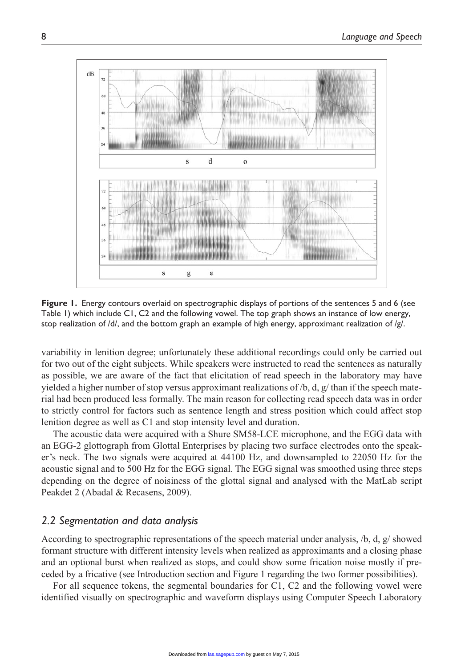

**Figure 1.** Energy contours overlaid on spectrographic displays of portions of the sentences 5 and 6 (see Table 1) which include C1, C2 and the following vowel. The top graph shows an instance of low energy, stop realization of /d/, and the bottom graph an example of high energy, approximant realization of /g/.

variability in lenition degree; unfortunately these additional recordings could only be carried out for two out of the eight subjects. While speakers were instructed to read the sentences as naturally as possible, we are aware of the fact that elicitation of read speech in the laboratory may have yielded a higher number of stop versus approximant realizations of  $/b$ , d,  $g/d$  than if the speech material had been produced less formally. The main reason for collecting read speech data was in order to strictly control for factors such as sentence length and stress position which could affect stop lenition degree as well as C1 and stop intensity level and duration.

The acoustic data were acquired with a Shure SM58-LCE microphone, and the EGG data with an EGG-2 glottograph from Glottal Enterprises by placing two surface electrodes onto the speaker's neck. The two signals were acquired at 44100 Hz, and downsampled to 22050 Hz for the acoustic signal and to 500 Hz for the EGG signal. The EGG signal was smoothed using three steps depending on the degree of noisiness of the glottal signal and analysed with the MatLab script Peakdet 2 (Abadal & Recasens, 2009).

### *2.2 Segmentation and data analysis*

According to spectrographic representations of the speech material under analysis,  $/b$ , d,  $g/$  showed formant structure with different intensity levels when realized as approximants and a closing phase and an optional burst when realized as stops, and could show some frication noise mostly if preceded by a fricative (see Introduction section and Figure 1 regarding the two former possibilities).

For all sequence tokens, the segmental boundaries for C1, C2 and the following vowel were identified visually on spectrographic and waveform displays using Computer Speech Laboratory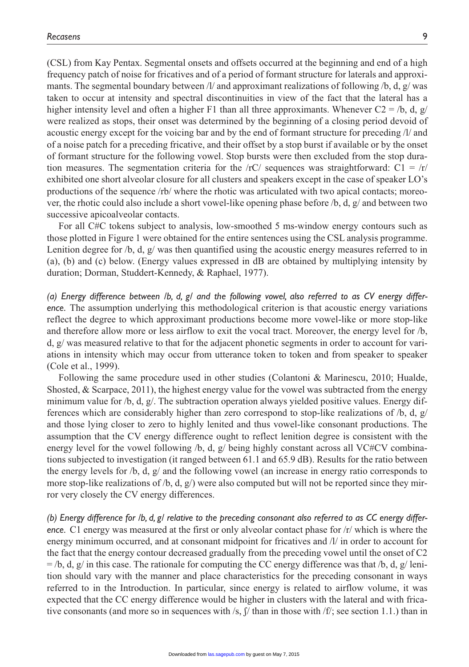(CSL) from Kay Pentax. Segmental onsets and offsets occurred at the beginning and end of a high frequency patch of noise for fricatives and of a period of formant structure for laterals and approximants. The segmental boundary between  $\frac{1}{2}$  and approximant realizations of following  $\frac{1}{2}$ , d, g/ was taken to occur at intensity and spectral discontinuities in view of the fact that the lateral has a higher intensity level and often a higher F1 than all three approximants. Whenever  $C2 = /b$ , d, g/ were realized as stops, their onset was determined by the beginning of a closing period devoid of acoustic energy except for the voicing bar and by the end of formant structure for preceding /l/ and of a noise patch for a preceding fricative, and their offset by a stop burst if available or by the onset of formant structure for the following vowel. Stop bursts were then excluded from the stop duration measures. The segmentation criteria for the  $\Gamma$ C/ sequences was straightforward: C1 =  $\Gamma$ /r/ exhibited one short alveolar closure for all clusters and speakers except in the case of speaker LO's productions of the sequence /rb/ where the rhotic was articulated with two apical contacts; moreover, the rhotic could also include a short vowel-like opening phase before /b, d, g/ and between two successive apicoalveolar contacts.

For all C#C tokens subject to analysis, low-smoothed 5 ms-window energy contours such as those plotted in Figure 1 were obtained for the entire sentences using the CSL analysis programme. Lenition degree for  $/b$ , d,  $g$  was then quantified using the acoustic energy measures referred to in (a), (b) and (c) below. (Energy values expressed in dB are obtained by multiplying intensity by duration; Dorman, Studdert-Kennedy, & Raphael, 1977).

*(a) Energy difference between /b, d, g/ and the following vowel, also referred to as CV energy difference.* The assumption underlying this methodological criterion is that acoustic energy variations reflect the degree to which approximant productions become more vowel-like or more stop-like and therefore allow more or less airflow to exit the vocal tract. Moreover, the energy level for /b, d, g/ was measured relative to that for the adjacent phonetic segments in order to account for variations in intensity which may occur from utterance token to token and from speaker to speaker (Cole et al., 1999).

Following the same procedure used in other studies (Colantoni & Marinescu, 2010; Hualde, Shosted, & Scarpace, 2011), the highest energy value for the vowel was subtracted from the energy minimum value for  $\beta$ , d, g. The subtraction operation always yielded positive values. Energy differences which are considerably higher than zero correspond to stop-like realizations of  $/b$ , d,  $g/$ and those lying closer to zero to highly lenited and thus vowel-like consonant productions. The assumption that the CV energy difference ought to reflect lenition degree is consistent with the energy level for the vowel following  $/b$ , d, g/ being highly constant across all VC#CV combinations subjected to investigation (it ranged between 61.1 and 65.9 dB). Results for the ratio between the energy levels for /b, d, g/ and the following vowel (an increase in energy ratio corresponds to more stop-like realizations of /b, d,  $g$ /) were also computed but will not be reported since they mirror very closely the CV energy differences.

*(b) Energy difference for /b, d, g/ relative to the preceding consonant also referred to as CC energy difference.* C1 energy was measured at the first or only alveolar contact phase for /r/ which is where the energy minimum occurred, and at consonant midpoint for fricatives and  $\frac{1}{i}$  in order to account for the fact that the energy contour decreased gradually from the preceding vowel until the onset of C2  $=$  /b, d, g/ in this case. The rationale for computing the CC energy difference was that /b, d, g/ lenition should vary with the manner and place characteristics for the preceding consonant in ways referred to in the Introduction. In particular, since energy is related to airflow volume, it was expected that the CC energy difference would be higher in clusters with the lateral and with fricative consonants (and more so in sequences with /s,  $\int$ / than in those with /f/; see section 1.1.) than in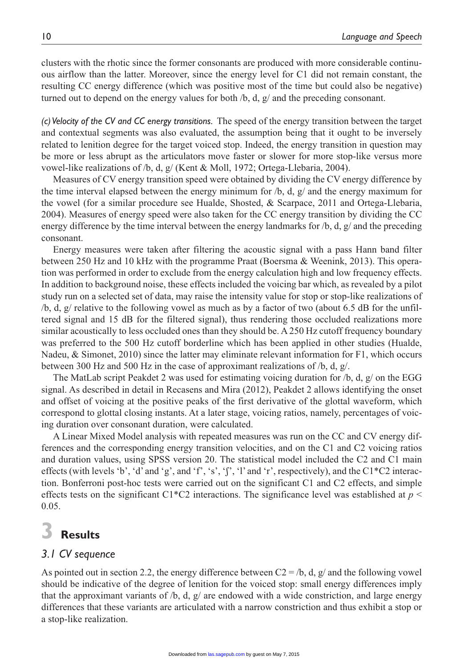clusters with the rhotic since the former consonants are produced with more considerable continuous airflow than the latter. Moreover, since the energy level for C1 did not remain constant, the resulting CC energy difference (which was positive most of the time but could also be negative) turned out to depend on the energy values for both /b, d, g/ and the preceding consonant.

*(c) Velocity of the CV and CC energy transitions.* The speed of the energy transition between the target and contextual segments was also evaluated, the assumption being that it ought to be inversely related to lenition degree for the target voiced stop. Indeed, the energy transition in question may be more or less abrupt as the articulators move faster or slower for more stop-like versus more vowel-like realizations of /b, d, g/ (Kent & Moll, 1972; Ortega-Llebaria, 2004).

Measures of CV energy transition speed were obtained by dividing the CV energy difference by the time interval elapsed between the energy minimum for  $/b$ , d,  $g/$  and the energy maximum for the vowel (for a similar procedure see Hualde, Shosted, & Scarpace, 2011 and Ortega-Llebaria, 2004). Measures of energy speed were also taken for the CC energy transition by dividing the CC energy difference by the time interval between the energy landmarks for  $/b$ , d,  $g/d$  and the preceding consonant.

Energy measures were taken after filtering the acoustic signal with a pass Hann band filter between 250 Hz and 10 kHz with the programme Praat (Boersma & Weenink, 2013). This operation was performed in order to exclude from the energy calculation high and low frequency effects. In addition to background noise, these effects included the voicing bar which, as revealed by a pilot study run on a selected set of data, may raise the intensity value for stop or stop-like realizations of  $/b$ , d, g/ relative to the following vowel as much as by a factor of two (about 6.5 dB for the unfiltered signal and 15 dB for the filtered signal), thus rendering those occluded realizations more similar acoustically to less occluded ones than they should be. A 250 Hz cutoff frequency boundary was preferred to the 500 Hz cutoff borderline which has been applied in other studies (Hualde, Nadeu, & Simonet, 2010) since the latter may eliminate relevant information for F1, which occurs between 300 Hz and 500 Hz in the case of approximant realizations of /b, d, g/.

The MatLab script Peakdet 2 was used for estimating voicing duration for  $/b$ , d,  $g/$  on the EGG signal. As described in detail in Recasens and Mira (2012), Peakdet 2 allows identifying the onset and offset of voicing at the positive peaks of the first derivative of the glottal waveform, which correspond to glottal closing instants. At a later stage, voicing ratios, namely, percentages of voicing duration over consonant duration, were calculated.

A Linear Mixed Model analysis with repeated measures was run on the CC and CV energy differences and the corresponding energy transition velocities, and on the C1 and C2 voicing ratios and duration values, using SPSS version 20. The statistical model included the C2 and C1 main effects (with levels 'b', 'd' and 'g', and 'f', 's', 'j', 'l' and 'r', respectively), and the C1\*C2 interaction. Bonferroni post-hoc tests were carried out on the significant C1 and C2 effects, and simple effects tests on the significant C1<sup>\*</sup>C2 interactions. The significance level was established at  $p \leq$ 0.05.

# **3 Results**

## *3.1 CV sequence*

As pointed out in section 2.2, the energy difference between  $C_2 = /b$ , d, g/ and the following vowel should be indicative of the degree of lenition for the voiced stop: small energy differences imply that the approximant variants of  $/b$ , d, g/ are endowed with a wide constriction, and large energy differences that these variants are articulated with a narrow constriction and thus exhibit a stop or a stop-like realization.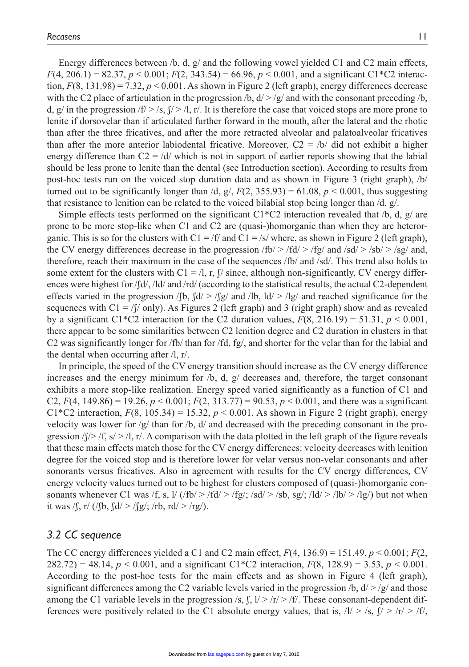Energy differences between /b, d, g/ and the following vowel yielded C1 and C2 main effects,  $F(4, 206.1) = 82.37, p < 0.001; F(2, 343.54) = 66.96, p < 0.001$ , and a significant C1<sup>\*</sup>C2 interaction,  $F(8, 131.98) = 7.32$ ,  $p < 0.001$ . As shown in Figure 2 (left graph), energy differences decrease with the C2 place of articulation in the progression  $\langle b, d \rangle > \langle g \rangle$  and with the consonant preceding  $\langle b,$ d, g/ in the progression  $/f > /s$ ,  $\frac{f}{s} > /l$ , r/. It is therefore the case that voiced stops are more prone to lenite if dorsovelar than if articulated further forward in the mouth, after the lateral and the rhotic than after the three fricatives, and after the more retracted alveolar and palatoalveolar fricatives than after the more anterior labiodental fricative. Moreover,  $C2 = /b/$  did not exhibit a higher energy difference than  $C2 = /d/$  which is not in support of earlier reports showing that the labial should be less prone to lenite than the dental (see Introduction section). According to results from post-hoc tests run on the voiced stop duration data and as shown in Figure 3 (right graph), /b/ turned out to be significantly longer than /d,  $g/$ ,  $F(2, 355.93) = 61.08$ ,  $p < 0.001$ , thus suggesting that resistance to lenition can be related to the voiced bilabial stop being longer than /d, g/.

Simple effects tests performed on the significant C1\*C2 interaction revealed that  $/b$ , d, g/ are prone to be more stop-like when C1 and C2 are (quasi-)homorganic than when they are heterorganic. This is so for the clusters with C1 = /f/ and C1 = /s/ where, as shown in Figure 2 (left graph), the CV energy differences decrease in the progression  $/fb$  >  $/fd$  >  $/fd$  and  $/sd$  >  $/sb$  >  $/sg$  and, therefore, reach their maximum in the case of the sequences /fb/ and /sd/. This trend also holds to some extent for the clusters with C1 = /l, r,  $\int$ / since, although non-significantly, CV energy differences were highest for /ʃd/, /ld/ and /rd/ (according to the statistical results, the actual C2-dependent effects varied in the progression /ʃb,  $\int d$ / > / $\int g$ / and /lb, ld/ > /lg/ and reached significance for the sequences with  $Cl = / f /$  only). As Figures 2 (left graph) and 3 (right graph) show and as revealed by a significant C1\*C2 interaction for the C2 duration values,  $F(8, 216.19) = 51.31$ ,  $p < 0.001$ , there appear to be some similarities between C2 lenition degree and C2 duration in clusters in that C2 was significantly longer for /fb/ than for /fd, fg/, and shorter for the velar than for the labial and the dental when occurring after /l, r/.

In principle, the speed of the CV energy transition should increase as the CV energy difference increases and the energy minimum for  $/b$ , d,  $g/d$  decreases and, therefore, the target consonant exhibits a more stop-like realization. Energy speed varied significantly as a function of C1 and C2,  $F(4, 149.86) = 19.26, p < 0.001; F(2, 313.77) = 90.53, p < 0.001$ , and there was a significant C1\*C2 interaction,  $F(8, 105.34) = 15.32$ ,  $p < 0.001$ . As shown in Figure 2 (right graph), energy velocity was lower for  $/g$  than for  $/b$ , d/ and decreased with the preceding consonant in the progression  $\int \sqrt{2} f, s \sqrt{2} f, r$ . A comparison with the data plotted in the left graph of the figure reveals that these main effects match those for the CV energy differences: velocity decreases with lenition degree for the voiced stop and is therefore lower for velar versus non-velar consonants and after sonorants versus fricatives. Also in agreement with results for the CV energy differences, CV energy velocity values turned out to be highest for clusters composed of (quasi-)homorganic consonants whenever C1 was /f, s,  $1/(f\mathbf{b}) > f\mathbf{d}$ /  $>$  /fg/; /sd/  $>$  /sb, sg/; /ld/  $>$  /lb/  $>$  /lg/) but not when it was /ʃ, r/ (/ʃb,  $\int d$ />/ $\int g$ /; /rb, rd/>/rg/).

#### *3.2 CC sequence*

The CC energy differences yielded a C1 and C2 main effect,  $F(4, 136.9) = 151.49$ ,  $p < 0.001$ ;  $F(2, 120)$ 282.72) = 48.14, *p* < 0.001, and a significant C1\*C2 interaction, *F*(8, 128.9) = 3.53, *p* < 0.001. According to the post-hoc tests for the main effects and as shown in Figure 4 (left graph), significant differences among the C2 variable levels varied in the progression  $\langle b, d \rangle > \langle g \rangle$  and those among the C1 variable levels in the progression /s,  $\int$ ,  $1/$  >/r/ >/f/. These consonant-dependent differences were positively related to the C1 absolute energy values, that is,  $/1 > /s$ ,  $\int_{\gamma}$  /  $\gamma$  /  $f$ / $\gamma$ / $f$ /,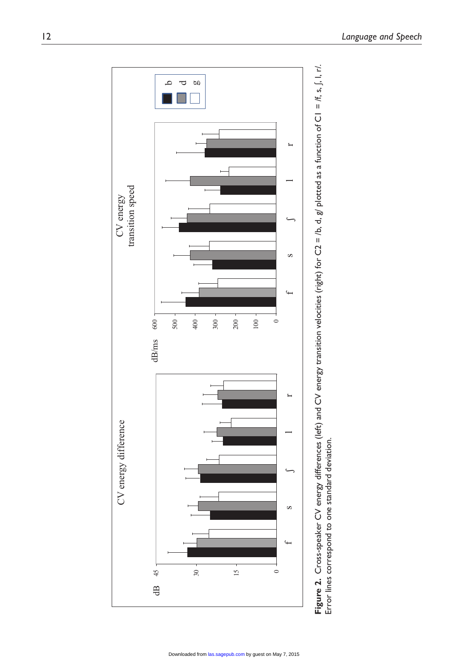

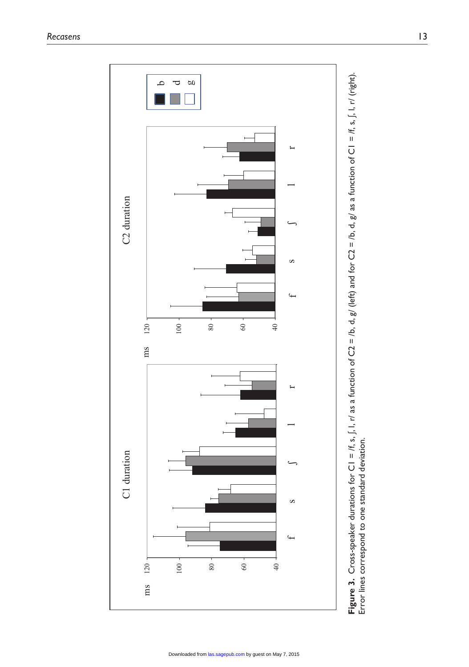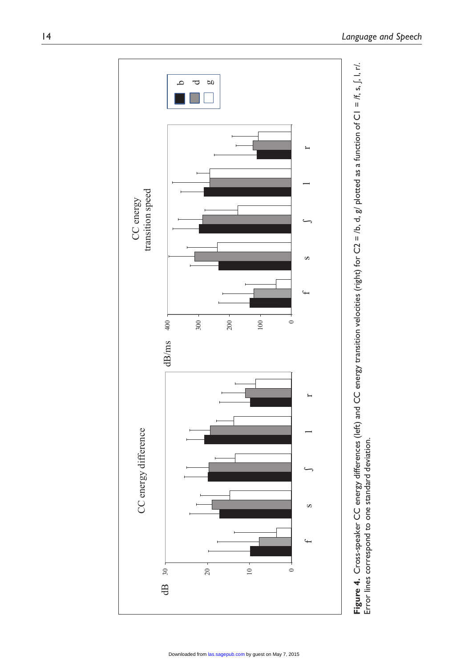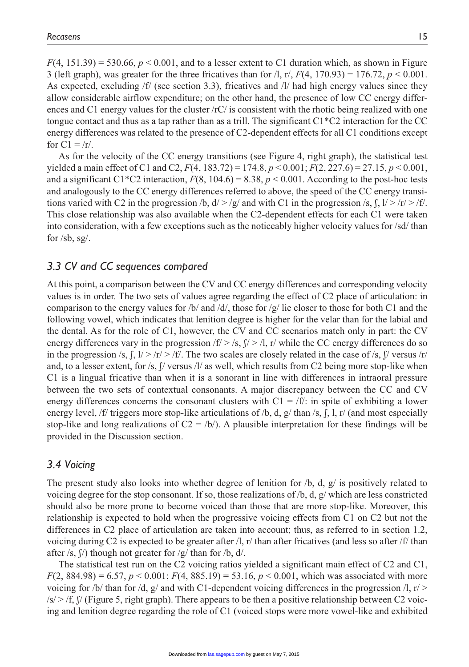$F(4, 151.39) = 530.66, p < 0.001$ , and to a lesser extent to C1 duration which, as shown in Figure 3 (left graph), was greater for the three fricatives than for  $\lambda$ ,  $r$ ,  $F$ (4, 170.93) = 176.72,  $p$  < 0.001. As expected, excluding /f/ (see section 3.3), fricatives and /l/ had high energy values since they allow considerable airflow expenditure; on the other hand, the presence of low CC energy differences and C1 energy values for the cluster /rC/ is consistent with the rhotic being realized with one tongue contact and thus as a tap rather than as a trill. The significant C1\*C2 interaction for the CC energy differences was related to the presence of C2-dependent effects for all C1 conditions except for  $Cl = /r/$ .

As for the velocity of the CC energy transitions (see Figure 4, right graph), the statistical test yielded a main effect of C1 and C2, *F*(4, 183.72) = 174.8, *p* < 0.001; *F*(2, 227.6) = 27.15, *p* < 0.001, and a significant C1\*C2 interaction,  $F(8, 104.6) = 8.38$ ,  $p < 0.001$ . According to the post-hoc tests and analogously to the CC energy differences referred to above, the speed of the CC energy transitions varied with C2 in the progression /b,  $d > \frac{g}{q}$  and with C1 in the progression /s,  $\int$ ,  $1 > \frac{r}{r}$ . This close relationship was also available when the C2-dependent effects for each C1 were taken into consideration, with a few exceptions such as the noticeably higher velocity values for /sd/ than for  $s$ b, sg $\ell$ .

#### *3.3 CV and CC sequences compared*

At this point, a comparison between the CV and CC energy differences and corresponding velocity values is in order. The two sets of values agree regarding the effect of C2 place of articulation: in comparison to the energy values for  $/b/$  and  $/d/$ , those for  $/g/$  lie closer to those for both C1 and the following vowel, which indicates that lenition degree is higher for the velar than for the labial and the dental. As for the role of C1, however, the CV and CC scenarios match only in part: the CV energy differences vary in the progression  $/f > /s$ ,  $f/ > /l$ , r/ while the CC energy differences do so in the progression /s,  $\int$ ,  $l$  > /r/ > /f/. The two scales are closely related in the case of /s,  $\int$ / versus /r/ and, to a lesser extent, for /s,  $\int$ / versus /l/ as well, which results from C2 being more stop-like when C1 is a lingual fricative than when it is a sonorant in line with differences in intraoral pressure between the two sets of contextual consonants. A major discrepancy between the CC and CV energy differences concerns the consonant clusters with  $Cl = /f$ : in spite of exhibiting a lower energy level, /f/ triggers more stop-like articulations of /b, d,  $g$ / than /s, f, l, r/ (and most especially stop-like and long realizations of  $C2 = /b/$ . A plausible interpretation for these findings will be provided in the Discussion section.

### *3.4 Voicing*

The present study also looks into whether degree of lenition for  $/b$ ,  $d$ ,  $g$  is positively related to voicing degree for the stop consonant. If so, those realizations of  $/b$ , d,  $g/\text{which}$  are less constricted should also be more prone to become voiced than those that are more stop-like. Moreover, this relationship is expected to hold when the progressive voicing effects from C1 on C2 but not the differences in C2 place of articulation are taken into account; thus, as referred to in section 1.2, voicing during C2 is expected to be greater after /l, r/ than after fricatives (and less so after /f/ than after /s,  $\int$ /) though not greater for /g/ than for /b, d/.

The statistical test run on the C2 voicing ratios yielded a significant main effect of C2 and C1, *F*(2, 884.98) = 6.57, *p* < 0.001; *F*(4, 885.19) = 53.16, *p* < 0.001, which was associated with more voicing for /b/ than for /d, g/ and with C1-dependent voicing differences in the progression  $\Lambda$ , r/ >  $/s$  /s/ > /f,  $\int$  (Figure 5, right graph). There appears to be then a positive relationship between C2 voicing and lenition degree regarding the role of C1 (voiced stops were more vowel-like and exhibited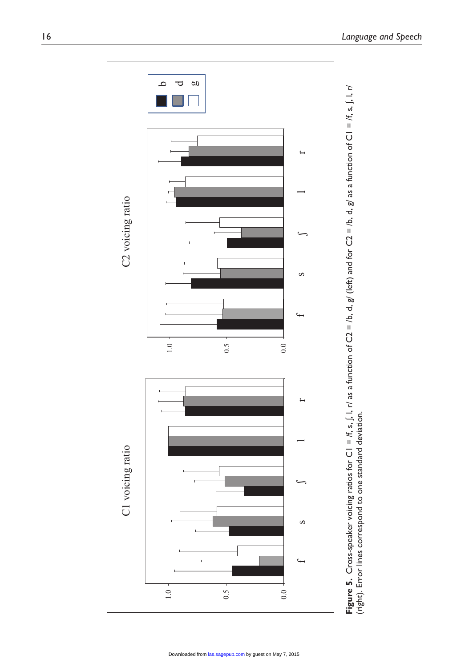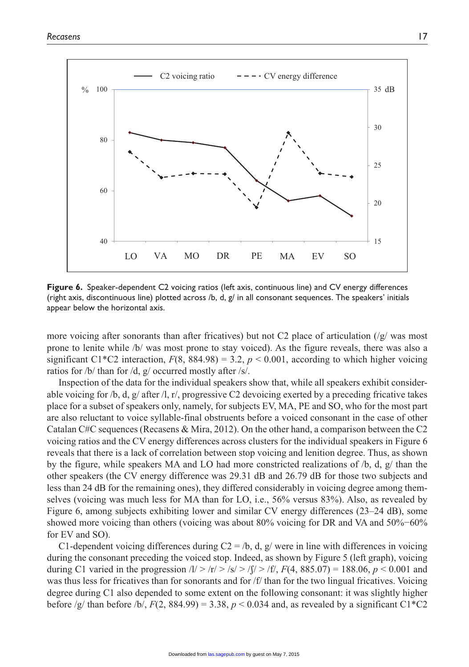

**Figure 6.** Speaker-dependent C2 voicing ratios (left axis, continuous line) and CV energy differences (right axis, discontinuous line) plotted across /b, d, g/ in all consonant sequences. The speakers' initials appear below the horizontal axis.

more voicing after sonorants than after fricatives) but not C2 place of articulation  $\left(\frac{1}{g}\right)$  was most prone to lenite while /b/ was most prone to stay voiced). As the figure reveals, there was also a significant C1<sup>\*</sup>C2 interaction,  $F(8, 884.98) = 3.2, p < 0.001$ , according to which higher voicing ratios for /b/ than for /d, g/ occurred mostly after /s/.

Inspection of the data for the individual speakers show that, while all speakers exhibit considerable voicing for /b, d,  $g/d$  after /l, r/, progressive C2 devoicing exerted by a preceding fricative takes place for a subset of speakers only, namely, for subjects EV, MA, PE and SO, who for the most part are also reluctant to voice syllable-final obstruents before a voiced consonant in the case of other Catalan C#C sequences (Recasens & Mira, 2012). On the other hand, a comparison between the C2 voicing ratios and the CV energy differences across clusters for the individual speakers in Figure 6 reveals that there is a lack of correlation between stop voicing and lenition degree. Thus, as shown by the figure, while speakers MA and LO had more constricted realizations of  $/b$ , d,  $\alpha$  than the other speakers (the CV energy difference was 29.31 dB and 26.79 dB for those two subjects and less than 24 dB for the remaining ones), they differed considerably in voicing degree among themselves (voicing was much less for MA than for LO, i.e., 56% versus 83%). Also, as revealed by Figure 6, among subjects exhibiting lower and similar CV energy differences (23–24 dB), some showed more voicing than others (voicing was about 80% voicing for DR and VA and 50%−60% for EV and SO).

C1-dependent voicing differences during C2 = /b, d,  $g$ / were in line with differences in voicing during the consonant preceding the voiced stop. Indeed, as shown by Figure 5 (left graph), voicing during C1 varied in the progression  $1/ > |r| > |s| > |f|$ ,  $F(4, 885.07) = 188.06$ ,  $p < 0.001$  and was thus less for fricatives than for sonorants and for /f/ than for the two lingual fricatives. Voicing degree during C1 also depended to some extent on the following consonant: it was slightly higher before /g/ than before /b/,  $F(2, 884.99) = 3.38$ ,  $p < 0.034$  and, as revealed by a significant C1<sup>\*</sup>C2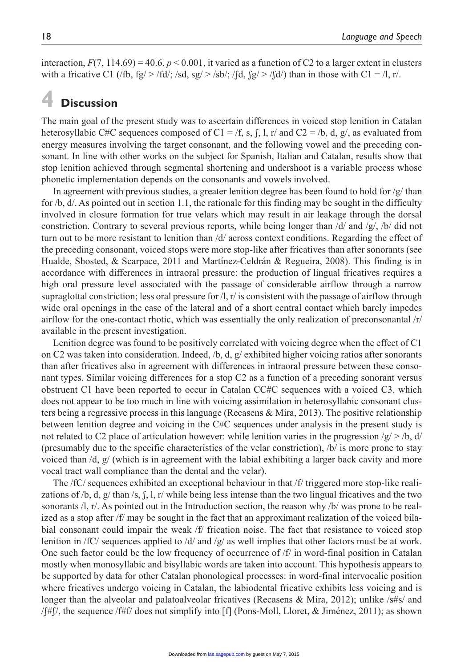interaction,  $F(7, 114.69) = 40.6$ ,  $p < 0.001$ , it varied as a function of C2 to a larger extent in clusters with a fricative C1 (/fb, fg/ > /fd/; /sd, sg/ > /sb/; / $\int d$ ,  $\int g$ / > / $\int d$ /) than in those with C1 = /l, r/.

## **4 Discussion**

The main goal of the present study was to ascertain differences in voiced stop lenition in Catalan heterosyllabic C#C sequences composed of C1 = /f, s, f, l, r/ and C2 = /b, d, g/, as evaluated from energy measures involving the target consonant, and the following vowel and the preceding consonant. In line with other works on the subject for Spanish, Italian and Catalan, results show that stop lenition achieved through segmental shortening and undershoot is a variable process whose phonetic implementation depends on the consonants and vowels involved.

In agreement with previous studies, a greater lenition degree has been found to hold for  $/g$  than for /b, d/. As pointed out in section 1.1, the rationale for this finding may be sought in the difficulty involved in closure formation for true velars which may result in air leakage through the dorsal constriction. Contrary to several previous reports, while being longer than /d/ and /g/, /b/ did not turn out to be more resistant to lenition than /d/ across context conditions. Regarding the effect of the preceding consonant, voiced stops were more stop-like after fricatives than after sonorants (see Hualde, Shosted, & Scarpace, 2011 and Martínez-Celdrán & Regueira, 2008). This finding is in accordance with differences in intraoral pressure: the production of lingual fricatives requires a high oral pressure level associated with the passage of considerable airflow through a narrow supraglottal constriction; less oral pressure for /l, r/ is consistent with the passage of airflow through wide oral openings in the case of the lateral and of a short central contact which barely impedes airflow for the one-contact rhotic, which was essentially the only realization of preconsonantal /r/ available in the present investigation.

Lenition degree was found to be positively correlated with voicing degree when the effect of C1 on C2 was taken into consideration. Indeed,  $/b$ , d,  $g/$  exhibited higher voicing ratios after sonorants than after fricatives also in agreement with differences in intraoral pressure between these consonant types. Similar voicing differences for a stop C2 as a function of a preceding sonorant versus obstruent C1 have been reported to occur in Catalan CC#C sequences with a voiced C3, which does not appear to be too much in line with voicing assimilation in heterosyllabic consonant clusters being a regressive process in this language (Recasens & Mira, 2013). The positive relationship between lenition degree and voicing in the C#C sequences under analysis in the present study is not related to C2 place of articulation however: while lenition varies in the progression  $\frac{g}{>h}$ , d/ (presumably due to the specific characteristics of the velar constriction), /b/ is more prone to stay voiced than  $/d$ , g/ (which is in agreement with the labial exhibiting a larger back cavity and more vocal tract wall compliance than the dental and the velar).

The /fC/ sequences exhibited an exceptional behaviour in that /f/ triggered more stop-like realizations of /b, d, g/ than /s, f, l, r/ while being less intense than the two lingual fricatives and the two sonorants /l, r/. As pointed out in the Introduction section, the reason why /b/ was prone to be realized as a stop after /f/ may be sought in the fact that an approximant realization of the voiced bilabial consonant could impair the weak /f/ frication noise. The fact that resistance to voiced stop lenition in /fC/ sequences applied to /d/ and /g/ as well implies that other factors must be at work. One such factor could be the low frequency of occurrence of  $/f$  in word-final position in Catalan mostly when monosyllabic and bisyllabic words are taken into account. This hypothesis appears to be supported by data for other Catalan phonological processes: in word-final intervocalic position where fricatives undergo voicing in Catalan, the labiodental fricative exhibits less voicing and is longer than the alveolar and palatoalveolar fricatives (Recasens & Mira, 2012); unlike /s#s/ and  $\sqrt{\frac{H}{f}}$ , the sequence /f#f/ does not simplify into [f] (Pons-Moll, Lloret, & Jiménez, 2011); as shown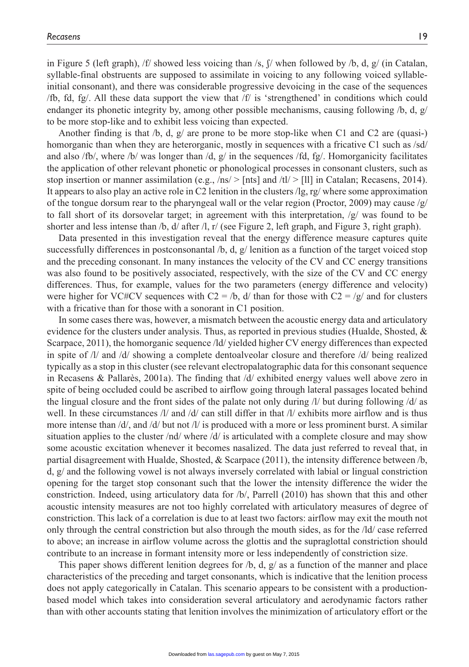in Figure 5 (left graph), /f/ showed less voicing than /s,  $\int$ / when followed by /b, d, g/ (in Catalan, syllable-final obstruents are supposed to assimilate in voicing to any following voiced syllableinitial consonant), and there was considerable progressive devoicing in the case of the sequences /fb, fd, fg/. All these data support the view that /f/ is 'strengthened' in conditions which could endanger its phonetic integrity by, among other possible mechanisms, causing following  $/b$ , d,  $g/$ to be more stop-like and to exhibit less voicing than expected.

Another finding is that  $/b$ , d, g/ are prone to be more stop-like when C1 and C2 are (quasi-) homorganic than when they are heterorganic, mostly in sequences with a fricative C1 such as /sd/ and also /fb/, where /b/ was longer than /d,  $g/$  in the sequences /fd, fg/. Homorganicity facilitates the application of other relevant phonetic or phonological processes in consonant clusters, such as stop insertion or manner assimilation (e.g.,  $\langle \text{ns} \rangle$  > [nts] and  $\langle \text{tl} \rangle$  > [11] in Catalan; Recasens, 2014). It appears to also play an active role in C2 lenition in the clusters /lg, rg/ where some approximation of the tongue dorsum rear to the pharyngeal wall or the velar region (Proctor, 2009) may cause  $\frac{g}{q}$ to fall short of its dorsovelar target; in agreement with this interpretation, /g/ was found to be shorter and less intense than /b, d/ after /l, r/ (see Figure 2, left graph, and Figure 3, right graph).

Data presented in this investigation reveal that the energy difference measure captures quite successfully differences in postconsonantal  $/b$ , d,  $g/$  lenition as a function of the target voiced stop and the preceding consonant. In many instances the velocity of the CV and CC energy transitions was also found to be positively associated, respectively, with the size of the CV and CC energy differences. Thus, for example, values for the two parameters (energy difference and velocity) were higher for VC#CV sequences with C2 =  $/b$ , d/ than for those with C2 =  $/g$  and for clusters with a fricative than for those with a sonorant in C1 position.

In some cases there was, however, a mismatch between the acoustic energy data and articulatory evidence for the clusters under analysis. Thus, as reported in previous studies (Hualde, Shosted,  $\&$ Scarpace, 2011), the homorganic sequence /ld/ yielded higher CV energy differences than expected in spite of /l/ and /d/ showing a complete dentoalveolar closure and therefore /d/ being realized typically as a stop in this cluster (see relevant electropalatographic data for this consonant sequence in Recasens & Pallarès, 2001a). The finding that /d/ exhibited energy values well above zero in spite of being occluded could be ascribed to airflow going through lateral passages located behind the lingual closure and the front sides of the palate not only during /l/ but during following /d/ as well. In these circumstances  $\frac{1}{d}$  and  $\frac{d}{d}$  can still differ in that  $\frac{1}{d}$  exhibits more airflow and is thus more intense than /d/, and /d/ but not /l/ is produced with a more or less prominent burst. A similar situation applies to the cluster /nd/ where /d/ is articulated with a complete closure and may show some acoustic excitation whenever it becomes nasalized. The data just referred to reveal that, in partial disagreement with Hualde, Shosted, & Scarpace (2011), the intensity difference between /b, d, g/ and the following vowel is not always inversely correlated with labial or lingual constriction opening for the target stop consonant such that the lower the intensity difference the wider the constriction. Indeed, using articulatory data for /b/, Parrell (2010) has shown that this and other acoustic intensity measures are not too highly correlated with articulatory measures of degree of constriction. This lack of a correlation is due to at least two factors: airflow may exit the mouth not only through the central constriction but also through the mouth sides, as for the /ld/ case referred to above; an increase in airflow volume across the glottis and the supraglottal constriction should contribute to an increase in formant intensity more or less independently of constriction size.

This paper shows different lenition degrees for  $/b$ , d,  $g/$  as a function of the manner and place characteristics of the preceding and target consonants, which is indicative that the lenition process does not apply categorically in Catalan. This scenario appears to be consistent with a productionbased model which takes into consideration several articulatory and aerodynamic factors rather than with other accounts stating that lenition involves the minimization of articulatory effort or the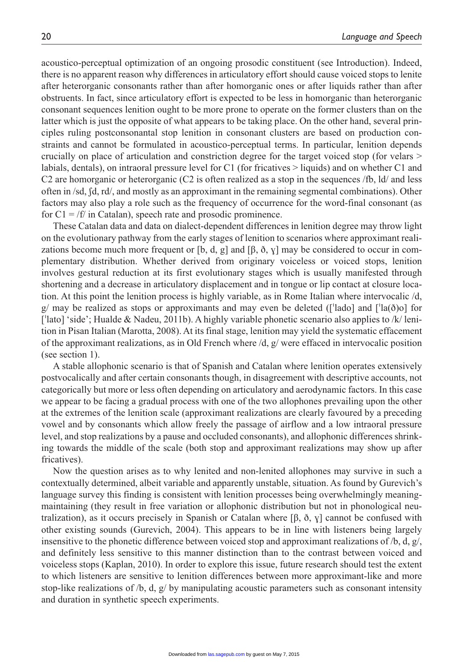acoustico-perceptual optimization of an ongoing prosodic constituent (see Introduction). Indeed, there is no apparent reason why differences in articulatory effort should cause voiced stops to lenite after heterorganic consonants rather than after homorganic ones or after liquids rather than after obstruents. In fact, since articulatory effort is expected to be less in homorganic than heterorganic consonant sequences lenition ought to be more prone to operate on the former clusters than on the latter which is just the opposite of what appears to be taking place. On the other hand, several principles ruling postconsonantal stop lenition in consonant clusters are based on production constraints and cannot be formulated in acoustico-perceptual terms. In particular, lenition depends crucially on place of articulation and constriction degree for the target voiced stop (for velars > labials, dentals), on intraoral pressure level for C1 (for fricatives > liquids) and on whether C1 and C2 are homorganic or heterorganic (C2 is often realized as a stop in the sequences /fb, ld/ and less often in /sd, ʃd, rd/, and mostly as an approximant in the remaining segmental combinations). Other factors may also play a role such as the frequency of occurrence for the word-final consonant (as for  $CI = /f /$  in Catalan), speech rate and prosodic prominence.

These Catalan data and data on dialect-dependent differences in lenition degree may throw light on the evolutionary pathway from the early stages of lenition to scenarios where approximant realizations become much more frequent or [b, d, g] and  $[\beta, \delta, \gamma]$  may be considered to occur in complementary distribution. Whether derived from originary voiceless or voiced stops, lenition involves gestural reduction at its first evolutionary stages which is usually manifested through shortening and a decrease in articulatory displacement and in tongue or lip contact at closure location. At this point the lenition process is highly variable, as in Rome Italian where intervocalic /d,  $g$ / may be realized as stops or approximants and may even be deleted (['lado] and ['la( $\delta$ )o] for ['lato] 'side'; Hualde & Nadeu, 2011b). A highly variable phonetic scenario also applies to /k/ lenition in Pisan Italian (Marotta, 2008). At its final stage, lenition may yield the systematic effacement of the approximant realizations, as in Old French where  $\alpha$ , g/ were effaced in intervocalic position (see section 1).

A stable allophonic scenario is that of Spanish and Catalan where lenition operates extensively postvocalically and after certain consonants though, in disagreement with descriptive accounts, not categorically but more or less often depending on articulatory and aerodynamic factors. In this case we appear to be facing a gradual process with one of the two allophones prevailing upon the other at the extremes of the lenition scale (approximant realizations are clearly favoured by a preceding vowel and by consonants which allow freely the passage of airflow and a low intraoral pressure level, and stop realizations by a pause and occluded consonants), and allophonic differences shrinking towards the middle of the scale (both stop and approximant realizations may show up after fricatives).

Now the question arises as to why lenited and non-lenited allophones may survive in such a contextually determined, albeit variable and apparently unstable, situation. As found by Gurevich's language survey this finding is consistent with lenition processes being overwhelmingly meaningmaintaining (they result in free variation or allophonic distribution but not in phonological neutralization), as it occurs precisely in Spanish or Catalan where  $[\beta, \delta, \gamma]$  cannot be confused with other existing sounds (Gurevich, 2004). This appears to be in line with listeners being largely insensitive to the phonetic difference between voiced stop and approximant realizations of  $/b$ , d, g/, and definitely less sensitive to this manner distinction than to the contrast between voiced and voiceless stops (Kaplan, 2010). In order to explore this issue, future research should test the extent to which listeners are sensitive to lenition differences between more approximant-like and more stop-like realizations of  $\beta$ , d, g/ by manipulating acoustic parameters such as consonant intensity and duration in synthetic speech experiments.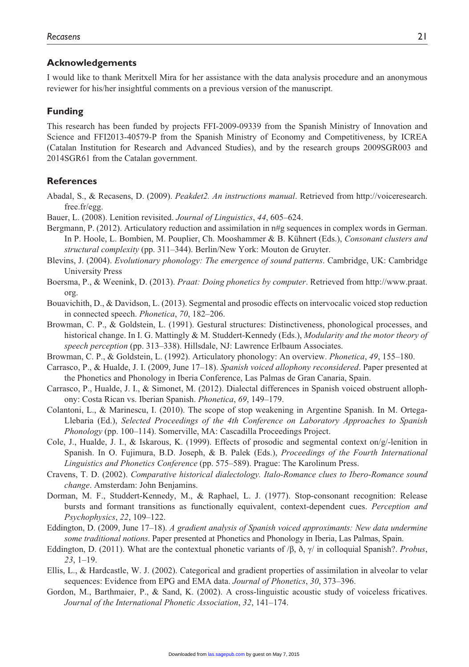#### **Acknowledgements**

I would like to thank Meritxell Mira for her assistance with the data analysis procedure and an anonymous reviewer for his/her insightful comments on a previous version of the manuscript.

#### **Funding**

This research has been funded by projects FFI-2009-09339 from the Spanish Ministry of Innovation and Science and FFI2013-40579-P from the Spanish Ministry of Economy and Competitiveness, by ICREA (Catalan Institution for Research and Advanced Studies), and by the research groups 2009SGR003 and 2014SGR61 from the Catalan government.

#### **References**

- Abadal, S., & Recasens, D. (2009). *Peakdet2. An instructions manual*. Retrieved from [http://voiceresearch.](http://voiceresearch.free.fr/egg) [free.fr/egg.](http://voiceresearch.free.fr/egg)
- Bauer, L. (2008). Lenition revisited. *Journal of Linguistics*, *44*, 605–624.
- Bergmann, P. (2012). Articulatory reduction and assimilation in n#g sequences in complex words in German. In P. Hoole, L. Bombien, M. Pouplier, Ch. Mooshammer & B. Kühnert (Eds.), *Consonant clusters and structural complexity* (pp. 311–344). Berlin/New York: Mouton de Gruyter.
- Blevins, J. (2004). *Evolutionary phonology: The emergence of sound patterns*. Cambridge, UK: Cambridge University Press
- Boersma, P., & Weenink, D. (2013). *Praat: Doing phonetics by computer*. Retrieved from [http://www.praat.](http://www.praat.org) [org](http://www.praat.org).
- Bouavichith, D., & Davidson, L. (2013). Segmental and prosodic effects on intervocalic voiced stop reduction in connected speech. *Phonetica*, *70*, 182–206.
- Browman, C. P., & Goldstein, L. (1991). Gestural structures: Distinctiveness, phonological processes, and historical change. In I. G. Mattingly & M. Studdert-Kennedy (Eds.), *Modularity and the motor theory of speech perception* (pp. 313–338). Hillsdale, NJ: Lawrence Erlbaum Associates.
- Browman, C. P., & Goldstein, L. (1992). Articulatory phonology: An overview. *Phonetica*, *49*, 155–180.
- Carrasco, P., & Hualde, J. I. (2009, June 17–18). *Spanish voiced allophony reconsidered*. Paper presented at the Phonetics and Phonology in Iberia Conference, Las Palmas de Gran Canaria, Spain.
- Carrasco, P., Hualde, J. I., & Simonet, M. (2012). Dialectal differences in Spanish voiced obstruent allophony: Costa Rican vs. Iberian Spanish. *Phonetica*, *69*, 149–179.
- Colantoni, L., & Marinescu, I. (2010). The scope of stop weakening in Argentine Spanish. In M. Ortega-Llebaria (Ed.), *Selected Proceedings of the 4th Conference on Laboratory Approaches to Spanish Phonology* (pp. 100–114). Somerville, MA: Cascadilla Proceedings Project.
- Cole, J., Hualde, J. I., & Iskarous, K. (1999). Effects of prosodic and segmental context on/g/-lenition in Spanish. In O. Fujimura, B.D. Joseph, & B. Palek (Eds.), *Proceedings of the Fourth International Linguistics and Phonetics Conference* (pp. 575–589). Prague: The Karolinum Press.
- Cravens, T. D. (2002). *Comparative historical dialectology. Italo-Romance clues to Ibero-Romance sound change*. Amsterdam: John Benjamins.
- Dorman, M. F., Studdert-Kennedy, M., & Raphael, L. J. (1977). Stop-consonant recognition: Release bursts and formant transitions as functionally equivalent, context-dependent cues. *Perception and Psychophysics*, *22*, 109–122.
- Eddington, D. (2009, June 17–18). *A gradient analysis of Spanish voiced approximants: New data undermine some traditional notions*. Paper presented at Phonetics and Phonology in Iberia, Las Palmas, Spain.
- Eddington, D. (2011). What are the contextual phonetic variants of /β, ð, γ/ in colloquial Spanish?. *Probus*, *23*, 1–19.
- Ellis, L., & Hardcastle, W. J. (2002). Categorical and gradient properties of assimilation in alveolar to velar sequences: Evidence from EPG and EMA data. *Journal of Phonetics*, *30*, 373–396.
- Gordon, M., Barthmaier, P., & Sand, K. (2002). A cross-linguistic acoustic study of voiceless fricatives. *Journal of the International Phonetic Association*, *32*, 141–174.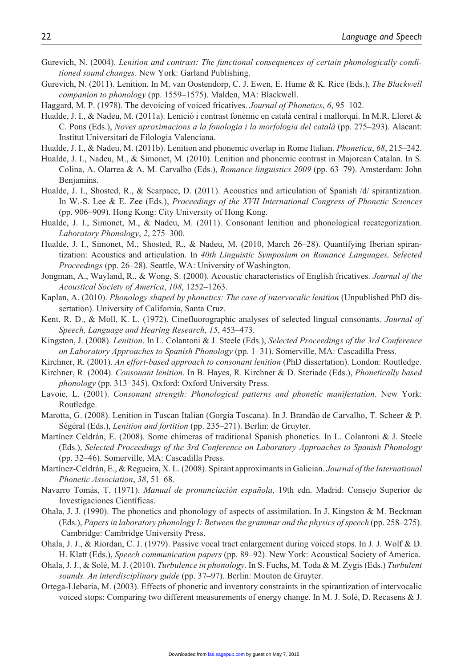- Gurevich, N. (2004). *Lenition and contrast: The functional consequences of certain phonologically conditioned sound changes*. New York: Garland Publishing.
- Gurevich, N. (2011). Lenition. In M. van Oostendorp, C. J. Ewen, E. Hume & K. Rice (Eds.), *The Blackwell companion to phonology* (pp. 1559–1575). Malden, MA: Blackwell.
- Haggard, M. P. (1978). The devoicing of voiced fricatives. *Journal of Phonetics*, *6*, 95–102.
- Hualde, J. I., & Nadeu, M. (2011a). Lenició i contrast fonèmic en català central i mallorquí. In M.R. Lloret & C. Pons (Eds.), *Noves aproximacions a la fonologia i la morfologia del català* (pp. 275–293). Alacant: Institut Universitari de Filologia Valenciana.
- Hualde, J. I., & Nadeu, M. (2011b). Lenition and phonemic overlap in Rome Italian. *Phonetica*, *68*, 215–242.
- Hualde, J. I., Nadeu, M., & Simonet, M. (2010). Lenition and phonemic contrast in Majorcan Catalan. In S. Colina, A. Olarrea & A. M. Carvalho (Eds.), *Romance linguistics 2009* (pp. 63–79). Amsterdam: John Benjamins.
- Hualde, J. I., Shosted, R., & Scarpace, D. (2011). Acoustics and articulation of Spanish /d/ spirantization. In W.-S. Lee & E. Zee (Eds.), *Proceedings of the XVII International Congress of Phonetic Sciences* (pp. 906–909). Hong Kong: City University of Hong Kong.
- Hualde, J. I., Simonet, M., & Nadeu, M. (2011). Consonant lenition and phonological recategorization. *Laboratory Phonology*, *2*, 275–300.
- Hualde, J. I., Simonet, M., Shosted, R., & Nadeu, M. (2010, March 26–28). Quantifying Iberian spirantization: Acoustics and articulation. In *40th Linguistic Symposium on Romance Languages, Selected Proceedings* (pp. 26–28). Seattle, WA: University of Washington.
- Jongman, A., Wayland, R., & Wong, S. (2000). Acoustic characteristics of English fricatives. *Journal of the Acoustical Society of America*, *108*, 1252–1263.
- Kaplan, A. (2010). *Phonology shaped by phonetics: The case of intervocalic lenition* (Unpublished PhD dissertation). University of California, Santa Cruz.
- Kent, R. D., & Moll, K. L. (1972). Cinefluorographic analyses of selected lingual consonants. *Journal of Speech, Language and Hearing Research*, *15*, 453–473.
- Kingston, J. (2008). *Lenition*. In L. Colantoni & J. Steele (Eds.), *Selected Proceedings of the 3rd Conference on Laboratory Approaches to Spanish Phonology* (pp. 1–31). Somerville, MA: Cascadilla Press.
- Kirchner, R. (2001). *An effort-based approach to consonant lenition* (PhD dissertation). London: Routledge.
- Kirchner, R. (2004). *Consonant lenition*. In B. Hayes, R. Kirchner & D. Steriade (Eds.), *Phonetically based phonology* (pp. 313–345). Oxford: Oxford University Press.
- Lavoie, L. (2001). *Consonant strength: Phonological patterns and phonetic manifestation*. New York: Routledge.
- Marotta, G. (2008). Lenition in Tuscan Italian (Gorgia Toscana). In J. Brandão de Carvalho, T. Scheer & P. Ségéral (Eds.), *Lenition and fortition* (pp. 235–271). Berlin: de Gruyter.
- Martínez Celdrán, E. (2008). Some chimeras of traditional Spanish phonetics. In L. Colantoni & J. Steele (Eds.), *Selected Proceedings of the 3rd Conference on Laboratory Approaches to Spanish Phonology* (pp. 32–46). Somerville, MA: Cascadilla Press.
- Martínez-Celdrán, E., & Regueira, X. L. (2008). Spirant approximants in Galician. *Journal of the International Phonetic Association*, *38*, 51–68.
- Navarro Tomás, T. (1971). *Manual de pronunciación española*, 19th edn. Madrid: Consejo Superior de Investigaciones Científicas.
- Ohala, J. J. (1990). The phonetics and phonology of aspects of assimilation. In J. Kingston & M. Beckman (Eds.), *Papers in laboratory phonology I: Between the grammar and the physics of speech* (pp. 258–275). Cambridge: Cambridge University Press.
- Ohala, J. J., & Riordan, C. J. (1979). Passive vocal tract enlargement during voiced stops. In J. J. Wolf & D. H. Klatt (Eds.), *Speech communication papers* (pp. 89–92). New York: Acoustical Society of America.
- Ohala, J. J., & Solé, M. J. (2010). *Turbulence in phonology*. In S. Fuchs, M. Toda & M. Zygis (Eds.) *Turbulent sounds. An interdisciplinary guide* (pp. 37–97). Berlin: Mouton de Gruyter.
- Ortega-Llebaria, M. (2003). Effects of phonetic and inventory constraints in the spirantization of intervocalic voiced stops: Comparing two different measurements of energy change. In M. J. Solé, D. Recasens & J.